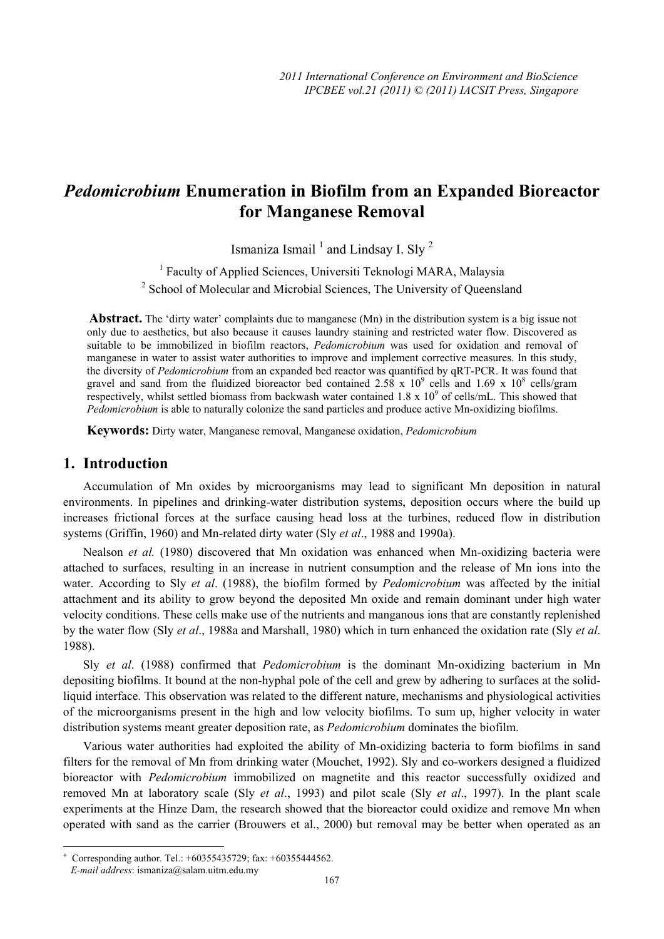# *Pedomicrobium* **Enumeration in Biofilm from an Expanded Bioreactor for Manganese Removal**

Ismaniza Ismail<sup>1</sup> and Lindsay I. Sly<sup>2</sup>

<sup>1</sup> Faculty of Applied Sciences, Universiti Teknologi MARA, Malaysia <sup>2</sup> School of Molecular and Microbial Sciences, The University of Queensland

 **Abstract.** The 'dirty water' complaints due to manganese (Mn) in the distribution system is a big issue not only due to aesthetics, but also because it causes laundry staining and restricted water flow. Discovered as suitable to be immobilized in biofilm reactors, *Pedomicrobium* was used for oxidation and removal of manganese in water to assist water authorities to improve and implement corrective measures. In this study, the diversity of *Pedomicrobium* from an expanded bed reactor was quantified by qRT-PCR. It was found that gravel and sand from the fluidized bioreactor bed contained  $2.58 \times 10^9$  cells and  $1.69 \times 10^8$  cells/gram respectively, whilst settled biomass from backwash water contained  $1.8 \times 10^9$  of cells/mL. This showed that *Pedomicrobium* is able to naturally colonize the sand particles and produce active Mn-oxidizing biofilms.

**Keywords:** Dirty water, Manganese removal, Manganese oxidation, *Pedomicrobium*

## **1. Introduction**

 $\overline{\phantom{a}}$ 

Accumulation of Mn oxides by microorganisms may lead to significant Mn deposition in natural environments. In pipelines and drinking-water distribution systems, deposition occurs where the build up increases frictional forces at the surface causing head loss at the turbines, reduced flow in distribution systems (Griffin, 1960) and Mn-related dirty water (Sly *et al*., 1988 and 1990a).

Nealson *et al.* (1980) discovered that Mn oxidation was enhanced when Mn-oxidizing bacteria were attached to surfaces, resulting in an increase in nutrient consumption and the release of Mn ions into the water. According to Sly *et al*. (1988), the biofilm formed by *Pedomicrobium* was affected by the initial attachment and its ability to grow beyond the deposited Mn oxide and remain dominant under high water velocity conditions. These cells make use of the nutrients and manganous ions that are constantly replenished by the water flow (Sly *et al*., 1988a and Marshall, 1980) which in turn enhanced the oxidation rate (Sly *et al*. 1988).

Sly *et al*. (1988) confirmed that *Pedomicrobium* is the dominant Mn-oxidizing bacterium in Mn depositing biofilms. It bound at the non-hyphal pole of the cell and grew by adhering to surfaces at the solidliquid interface. This observation was related to the different nature, mechanisms and physiological activities of the microorganisms present in the high and low velocity biofilms. To sum up, higher velocity in water distribution systems meant greater deposition rate, as *Pedomicrobium* dominates the biofilm.

Various water authorities had exploited the ability of Mn-oxidizing bacteria to form biofilms in sand filters for the removal of Mn from drinking water (Mouchet, 1992). Sly and co-workers designed a fluidized bioreactor with *Pedomicrobium* immobilized on magnetite and this reactor successfully oxidized and removed Mn at laboratory scale (Sly *et al*., 1993) and pilot scale (Sly *et al*., 1997). In the plant scale experiments at the Hinze Dam, the research showed that the bioreactor could oxidize and remove Mn when operated with sand as the carrier (Brouwers et al., 2000) but removal may be better when operated as an

<sup>+</sup> Corresponding author. Tel.: +60355435729; fax: +60355444562.

*E-mail address*: ismaniza@salam.uitm.edu.my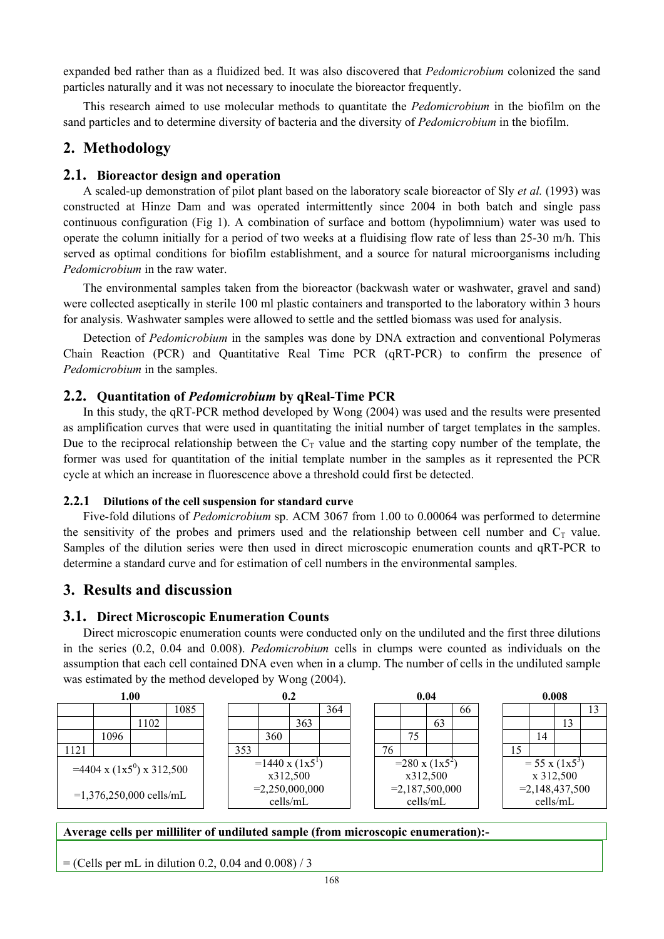expanded bed rather than as a fluidized bed. It was also discovered that *Pedomicrobium* colonized the sand particles naturally and it was not necessary to inoculate the bioreactor frequently.

This research aimed to use molecular methods to quantitate the *Pedomicrobium* in the biofilm on the sand particles and to determine diversity of bacteria and the diversity of *Pedomicrobium* in the biofilm.

# **2. Methodology**

### **2.1. Bioreactor design and operation**

A scaled-up demonstration of pilot plant based on the laboratory scale bioreactor of Sly *et al.* (1993) was constructed at Hinze Dam and was operated intermittently since 2004 in both batch and single pass continuous configuration (Fig 1). A combination of surface and bottom (hypolimnium) water was used to operate the column initially for a period of two weeks at a fluidising flow rate of less than 25-30 m/h. This served as optimal conditions for biofilm establishment, and a source for natural microorganisms including *Pedomicrobium* in the raw water.

The environmental samples taken from the bioreactor (backwash water or washwater, gravel and sand) were collected aseptically in sterile 100 ml plastic containers and transported to the laboratory within 3 hours for analysis. Washwater samples were allowed to settle and the settled biomass was used for analysis.

Detection of *Pedomicrobium* in the samples was done by DNA extraction and conventional Polymeras Chain Reaction (PCR) and Quantitative Real Time PCR (qRT-PCR) to confirm the presence of *Pedomicrobium* in the samples.

## **2.2. Quantitation of** *Pedomicrobium* **by qReal-Time PCR**

In this study, the qRT-PCR method developed by Wong (2004) was used and the results were presented as amplification curves that were used in quantitating the initial number of target templates in the samples. Due to the reciprocal relationship between the  $C_T$  value and the starting copy number of the template, the former was used for quantitation of the initial template number in the samples as it represented the PCR cycle at which an increase in fluorescence above a threshold could first be detected.

#### **2.2.1 Dilutions of the cell suspension for standard curve**

Five-fold dilutions of *Pedomicrobium* sp. ACM 3067 from 1.00 to 0.00064 was performed to determine the sensitivity of the probes and primers used and the relationship between cell number and  $C_T$  value. Samples of the dilution series were then used in direct microscopic enumeration counts and qRT-PCR to determine a standard curve and for estimation of cell numbers in the environmental samples.

## **3. Results and discussion**

#### **3.1. Direct Microscopic Enumeration Counts**

Direct microscopic enumeration counts were conducted only on the undiluted and the first three dilutions in the series (0.2, 0.04 and 0.008). *Pedomicrobium* cells in clumps were counted as individuals on the assumption that each cell contained DNA even when in a clump. The number of cells in the undiluted sample was estimated by the method developed by Wong (2004).



#### **Average cells per milliliter of undiluted sample (from microscopic enumeration):-**

 $=$  (Cells per mL in dilution 0.2, 0.04 and 0.008) / 3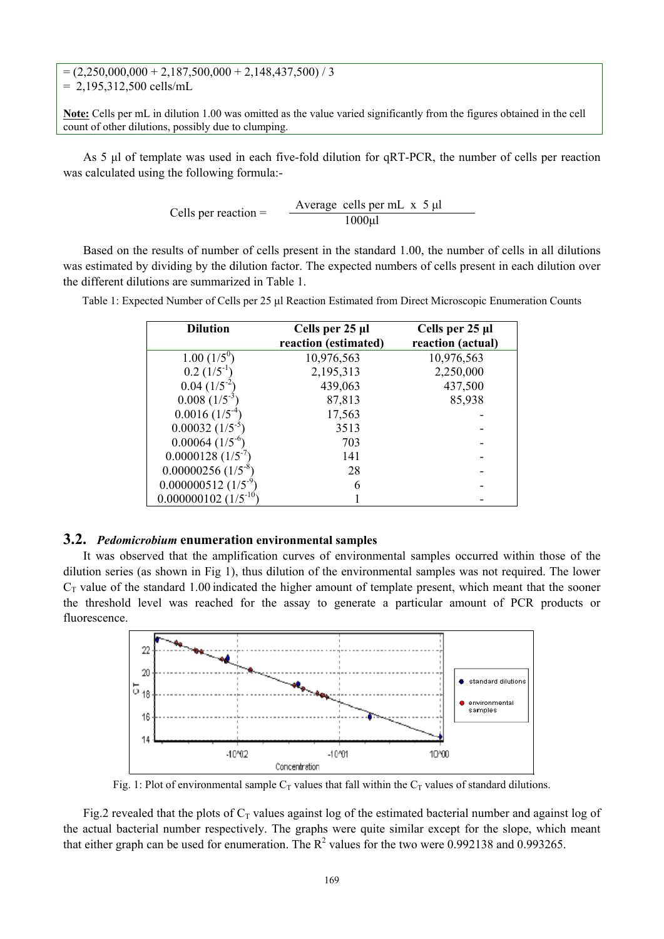$= (2,250,000,000 + 2,187,500,000 + 2,148,437,500) / 3$  $= 2,195,312,500$  cells/mL

**Note:** Cells per mL in dilution 1.00 was omitted as the value varied significantly from the figures obtained in the cell count of other dilutions, possibly due to clumping.

As 5 μl of template was used in each five-fold dilution for qRT-PCR, the number of cells per reaction was calculated using the following formula:-

Cells per reaction = 
$$
\frac{\text{Average cells per mL x 5 }\mu\text{I}}{1000 \mu\text{I}}
$$

Based on the results of number of cells present in the standard 1.00, the number of cells in all dilutions was estimated by dividing by the dilution factor. The expected numbers of cells present in each dilution over the different dilutions are summarized in Table 1.

Table 1: Expected Number of Cells per 25 μl Reaction Estimated from Direct Microscopic Enumeration Counts

| <b>Dilution</b>                   | Cells per 25 µl<br>reaction (estimated) | Cells per 25 µl<br>reaction (actual) |
|-----------------------------------|-----------------------------------------|--------------------------------------|
| $1.00~(1/5^0)$                    | 10,976,563                              | 10,976,563                           |
| $0.2~(1/5^{-1})$                  | 2,195,313                               | 2,250,000                            |
| $0.04~(1/5^{-2})$                 | 439,063                                 | 437,500                              |
| $0.008~(1/5^{-3})$                | 87,813                                  | 85,938                               |
| $0.0016~(1/5^{-1})$               | 17,563                                  |                                      |
| $0.00032~(1/5^{-5})$              | 3513                                    |                                      |
| $0.00064~(1/5^{-6})$              | 703                                     |                                      |
| $0.0000128~(1/5^{-7})$            | 141                                     |                                      |
| $0.00000256$ (1/5 <sup>-8</sup> ) | 28                                      |                                      |
| $0.000000512(1/5^{9})$            | 6                                       |                                      |
| $0.000000102$ $(1/5^{-10})$       |                                         |                                      |

#### **3.2.** *Pedomicrobium* **enumeration environmental samples**

It was observed that the amplification curves of environmental samples occurred within those of the dilution series (as shown in Fig 1), thus dilution of the environmental samples was not required. The lower  $C_T$  value of the standard 1.00 indicated the higher amount of template present, which meant that the sooner the threshold level was reached for the assay to generate a particular amount of PCR products or fluorescence.



Fig. 1: Plot of environmental sample  $C_T$  values that fall within the  $C_T$  values of standard dilutions.

Fig.2 revealed that the plots of  $C_T$  values against log of the estimated bacterial number and against log of the actual bacterial number respectively. The graphs were quite similar except for the slope, which meant that either graph can be used for enumeration. The  $R^2$  values for the two were 0.992138 and 0.993265.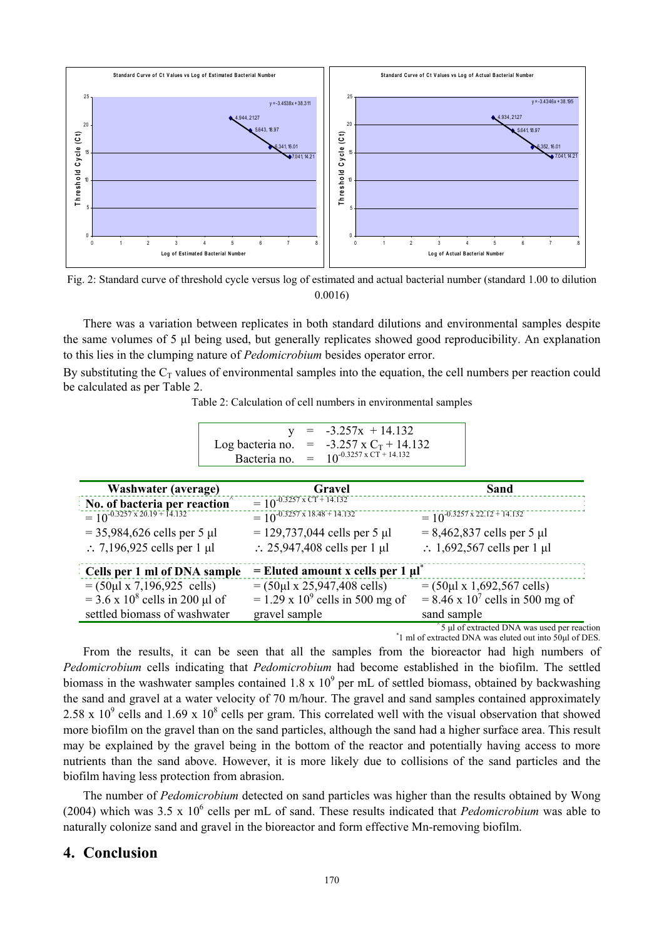

Fig. 2: Standard curve of threshold cycle versus log of estimated and actual bacterial number (standard 1.00 to dilution 0.0016)

There was a variation between replicates in both standard dilutions and environmental samples despite the same volumes of 5 μl being used, but generally replicates showed good reproducibility. An explanation to this lies in the clumping nature of *Pedomicrobium* besides operator error.

By substituting the  $C_T$  values of environmental samples into the equation, the cell numbers per reaction could be calculated as per Table 2.

Table 2: Calculation of cell numbers in environmental samples

|                  | $= -3.257x + 14.132$                            |
|------------------|-------------------------------------------------|
|                  | Log bacteria no. = $-3.257 \times C_T + 14.132$ |
| Bacteria no. $=$ | $10^{-0.3257 \text{ x }CT+14.132}$              |

| <b>Washwater (average)</b>                      | Gravel                                             | Sand                                          |
|-------------------------------------------------|----------------------------------------------------|-----------------------------------------------|
| No. of bacteria per reaction                    | $= 10^{-0.3257 \times CT + 14.132}$                |                                               |
|                                                 | $= 10^{-0.3257 \times 18.48 + 14.132}$             | $= 10^{-0.3257 \times 22.12 + 14.132}$        |
| $= 35,984,626$ cells per 5 µl                   | $= 129,737,044$ cells per 5 µl                     | $= 8,462,837$ cells per 5 µl                  |
| $\therefore$ 7,196,925 cells per 1 µl           | $\therefore$ 25,947,408 cells per 1 µl             | $\therefore$ 1,692,567 cells per 1 µl         |
| Cells per 1 ml of DNA sample                    | $=$ Eluted amount x cells per 1 $\mu$ <sup>*</sup> |                                               |
| $= (50 \mu 1 \times 7, 196, 925 \text{ cells})$ | $= (50 \mu 1 \times 25,947,408 \text{ cells})$     | $= (50 \mu 1 \times 1,692,567 \text{ cells})$ |
| $= 3.6 \times 10^8$ cells in 200 µl of          | $= 1.29 \times 10^{9}$ cells in 500 mg of          | $= 8.46 \times 10^{7}$ cells in 500 mg of     |
| settled biomass of washwater                    | gravel sample                                      | sand sample                                   |

 $\hat{ }$  5 μl of extracted DNA was used per reaction

1 ml of extracted DNA was eluted out into 50μl of DES.

From the results, it can be seen that all the samples from the bioreactor had high numbers of *Pedomicrobium* cells indicating that *Pedomicrobium* had become established in the biofilm. The settled biomass in the washwater samples contained 1.8 x  $10^9$  per mL of settled biomass, obtained by backwashing the sand and gravel at a water velocity of 70 m/hour. The gravel and sand samples contained approximately 2.58 x 10<sup>9</sup> cells and 1.69 x 10<sup>8</sup> cells per gram. This correlated well with the visual observation that showed more biofilm on the gravel than on the sand particles, although the sand had a higher surface area. This result may be explained by the gravel being in the bottom of the reactor and potentially having access to more nutrients than the sand above. However, it is more likely due to collisions of the sand particles and the biofilm having less protection from abrasion.

The number of *Pedomicrobium* detected on sand particles was higher than the results obtained by Wong (2004) which was  $3.5 \times 10^6$  cells per mL of sand. These results indicated that *Pedomicrobium* was able to naturally colonize sand and gravel in the bioreactor and form effective Mn-removing biofilm.

## **4. Conclusion**